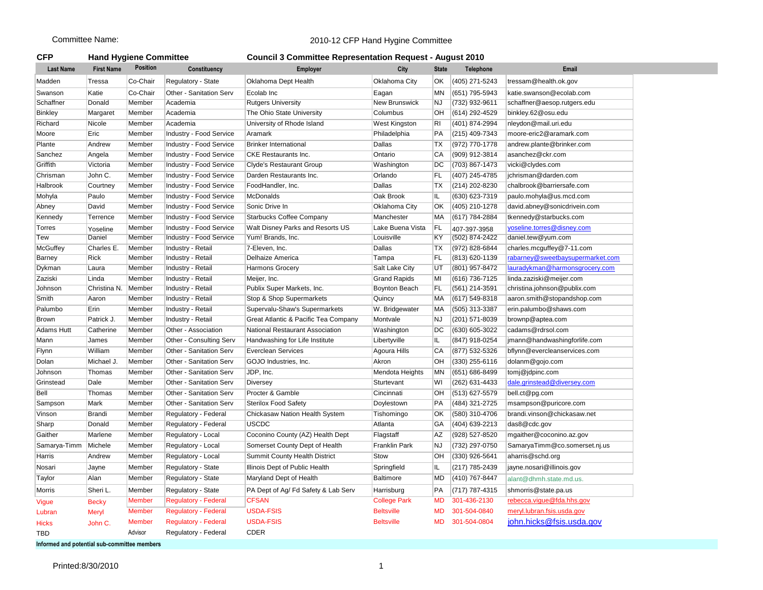## Committee Name: 2010-12 CFP Hand Hygine Committee

| <b>CFP</b>       | <b>Hand Hygiene Committee</b> |                 |                                | <b>Council 3 Committee Representation Request - August 2010</b> |                  |              |                |                        |  |  |
|------------------|-------------------------------|-----------------|--------------------------------|-----------------------------------------------------------------|------------------|--------------|----------------|------------------------|--|--|
| <b>Last Name</b> | <b>First Name</b>             | <b>Position</b> | <b>Constituency</b>            | <b>Employer</b>                                                 | City             | <b>State</b> | Telephone      | Email                  |  |  |
| Madden           | Tressa                        | Co-Chair        | Regulatory - State             | Oklahoma Dept Health                                            | Oklahoma City    | OK           | (405) 271-5243 | tressam@health.ok.gov  |  |  |
| Swanson          | Katie                         | Co-Chair        | Other - Sanitation Serv        | Ecolab Inc                                                      | Eagan            | MN           | (651) 795-5943 | katie.swanson@ecolab   |  |  |
| Schaffner        | Donald                        | Member          | Academia                       | <b>Rutgers University</b>                                       | New Brunswick    | NJ           | (732) 932-9611 | schaffner@aesop.rutge  |  |  |
| <b>Binkley</b>   | Margaret                      | Member          | Academia                       | The Ohio State University                                       | Columbus         | ЮH           | (614) 292-4529 | binkley.62@osu.edu     |  |  |
| Richard          | Nicole                        | Member          | Academia                       | University of Rhode Island                                      | West Kingston    | RI           | (401) 874-2994 | nleydon@mail.uri.edu   |  |  |
| Moore            | Eric                          | Member          | <b>Industry - Food Service</b> | Aramark                                                         | Philadelphia     | <b>PA</b>    | (215) 409-7343 | moore-eric2@aramark.   |  |  |
| Plante           | Andrew                        | Member          | <b>Industry - Food Service</b> | <b>Brinker International</b>                                    | Dallas           | <b>TX</b>    | (972) 770-1778 | andrew.plante@brinker  |  |  |
| Sanchez          | Angela                        | Member          | <b>Industry - Food Service</b> | <b>CKE</b> Restaurants Inc.                                     | Ontario          | <b>CA</b>    | (909) 912-3814 | asanchez@ckr.com       |  |  |
| Griffith         | Victoria                      | Member          | <b>Industry - Food Service</b> | <b>Clyde's Restaurant Group</b>                                 | Washington       | DC           | (703) 867-1473 | vicki@clydes.com       |  |  |
| Chrisman         | John C.                       | Member          | <b>Industry - Food Service</b> | Darden Restaurants Inc.                                         | Orlando          | FL           | (407) 245-4785 | jchrisman@darden.com   |  |  |
| Halbrook         | Courtney                      | Member          | <b>Industry - Food Service</b> | FoodHandler, Inc.                                               | Dallas           | <b>TX</b>    | (214) 202-8230 | chalbrook@barriersafe. |  |  |
| Mohyla           | Paulo                         | Member          | Industry - Food Service        | McDonalds                                                       | Oak Brook        | IL           | (630) 623-7319 | paulo.mohyla@us.mcd.   |  |  |
| Abney            | David                         | Member          | Industry - Food Service        | Sonic Drive In                                                  | Oklahoma City    | OK           | (405) 210-1278 | david.abney@sonicdriv  |  |  |
| Kennedy          | Terrence                      | Member          | <b>Industry - Food Service</b> | <b>Starbucks Coffee Company</b>                                 | Manchester       | MA           | (617) 784-2884 | tkennedy@starbucks.co  |  |  |
| Torres           | Yoseline                      | Member          | <b>Industry - Food Service</b> | Walt Disney Parks and Resorts US                                | Lake Buena Vista | FL           | 407-397-3958   | yoseline.torres@disney |  |  |
| Tew              | Daniel                        | Member          | <b>Industry - Food Service</b> | Yum! Brands, Inc.                                               | Louisville       | KY           | (502) 874-2422 | daniel.tew@yum.com     |  |  |
| McGuffey         | Charles E.                    | Member          | Industry - Retail              | 7-Eleven, Inc.                                                  | Dallas           | TX           | (972) 828-6844 | charles.mcguffey@7-11  |  |  |
|                  |                               |                 |                                |                                                                 |                  |              |                |                        |  |  |

| Madden               | Tressa       | Co-Chair      | Regulatory - State             | Oklahoma Dept Health                 | <b>Oklahoma City</b> | OK.       | (405) 271-5243      | tressam@health.ok.gov            |
|----------------------|--------------|---------------|--------------------------------|--------------------------------------|----------------------|-----------|---------------------|----------------------------------|
| Swanson              | Katie        | Co-Chair      | <b>Other - Sanitation Serv</b> | Ecolab Inc                           | Eagan                | MN        | (651) 795-5943      | katie.swanson@ecolab.com         |
| Schaffner            | Donald       | Member        | Academia                       | <b>Rutgers University</b>            | <b>New Brunswick</b> | NJ        | (732) 932-9611      | schaffner@aesop.rutgers.edu      |
| <b>Binkley</b>       | Margaret     | Member        | Academia                       | The Ohio State University            | Columbus             | OН        | (614) 292-4529      | binkley.62@osu.edu               |
| Richard              | Nicole       | Member        | Academia                       | University of Rhode Island           | <b>West Kingston</b> | RI        | (401) 874-2994      | nleydon@mail.uri.edu             |
| Moore                | Eric         | Member        | Industry - Food Service        | Aramark                              | Philadelphia         | PA        | (215) 409-7343      | moore-eric2@aramark.com          |
| Plante               | Andrew       | Member        | Industry - Food Service        | <b>Brinker International</b>         | Dallas               | ТX        | (972) 770-1778      | andrew.plante@brinker.com        |
| Sanchez              | Angela       | Member        | Industry - Food Service        | <b>CKE Restaurants Inc.</b>          | Ontario              | СA        | (909) 912-3814      | asanchez@ckr.com                 |
| Griffith             | Victoria     | Member        | Industry - Food Service        | <b>Clyde's Restaurant Group</b>      | Washington           | DC        | (703) 867-1473      | vicki@clydes.com                 |
| Chrisman             | John C.      | Member        | Industry - Food Service        | Darden Restaurants Inc.              | Orlando              | FL        | (407) 245-4785      | jchrisman@darden.com             |
| Halbrook             | Courtney     | Member        | Industry - Food Service        | FoodHandler, Inc.                    | Dallas               | ТX        | (214) 202-8230      | chalbrook@barriersafe.com        |
| Mohyla               | Paulo        | Member        | <b>Industry - Food Service</b> | McDonalds                            | Oak Brook            | IL        | (630) 623-7319      | paulo.mohyla@us.mcd.com          |
| Abney                | David        | Member        | Industry - Food Service        | Sonic Drive In                       | <b>Oklahoma City</b> | OK        | (405) 210-1278      | david.abney@sonicdrivein.com     |
| Kennedy              | Terrence     | Member        | Industry - Food Service        | <b>Starbucks Coffee Company</b>      | Manchester           | МA        | (617) 784-2884      | tkennedy@starbucks.com           |
| Torres               | Yoseline     | Member        | Industry - Food Service        | Walt Disney Parks and Resorts US     | Lake Buena Vista     | FL        | 407-397-3958        | yoseline.torres@disney.com       |
| Tew                  | Daniel       | Member        | <b>Industry - Food Service</b> | Yum! Brands, Inc.                    | Louisville           | ΚY        | (502) 874-2422      | daniel.tew@yum.com               |
| McGuffey             | Charles E.   | Member        | <b>Industry - Retail</b>       | 7-Eleven, Inc.                       | Dallas               | ТX        | (972) 828-6844      | charles.mcguffey@7-11.com        |
| Barney               | <b>Rick</b>  | Member        | Industry - Retail              | Delhaize America                     | Tampa                | FL        | (813) 620-1139      | rabarney@sweetbaysupermarket.com |
| Dykman               | Laura        | Member        | Industry - Retail              | Harmons Grocery                      | Salt Lake City       | UT        | (801) 957-8472      | lauradykman@harmonsgrocery.com   |
| Zaziski              | Linda        | Member        | Industry - Retail              | Meijer, Inc.                         | <b>Grand Rapids</b>  | MI        | (616) 736-7125      | linda.zaziski@meijer.com         |
| Johnson              | Christina N. | Member        | Industry - Retail              | Publix Super Markets, Inc.           | <b>Boynton Beach</b> | FL.       | $(561)$ 214-3591    | christina.johnson@publix.com     |
| Smith                | Aaron        | Member        | Industry - Retail              | Stop & Shop Supermarkets             | Quincy               | МA        | $(617) 549 - 8318$  | aaron.smith@stopandshop.com      |
| Palumbo              | Erin         | Member        | Industry - Retail              | Supervalu-Shaw's Supermarkets        | W. Bridgewater       | МA        | (505) 313-3387      | erin.palumbo@shaws.com           |
| Brown                | Patrick J.   | Member        | Industry - Retail              | Great Atlantic & Pacific Tea Company | Montvale             | NJ        | (201) 571-8039      | brownp@aptea.com                 |
| Adams Hutt           | Catherine    | Member        | Other - Association            | National Restaurant Association      | Washington           | DC        | (630) 605-3022      | cadams@rdrsol.com                |
| Mann                 | James        | Member        | Other - Consulting Serv        | Handwashing for Life Institute       | Libertyville         | IL        | (847) 918-0254      | jmann@handwashingforlife.com     |
| Flynn                | William      | Member        | <b>Other - Sanitation Serv</b> | <b>Everclean Services</b>            | Agoura Hills         | СA        | (877) 532-5326      | bflynn@evercleanservices.com     |
| Dolan                | Michael J.   | Member        | Other - Sanitation Serv        | GOJO Industries, Inc.                | Akron                | ЮH        | (330) 255-6116      | dolanm@gojo.com                  |
| Johnson              | Thomas       | Member        | <b>Other - Sanitation Serv</b> | JDP, Inc.                            | Mendota Heights      | MN        | (651) 686-8499      | tomj@jdpinc.com                  |
| Grinstead            | Dale         | Member        | Other - Sanitation Serv        | <b>Diversey</b>                      | Sturtevant           | WI        | (262) 631-4433      | dale.grinstead@diversey.com      |
| Bell                 | Thomas       | Member        | Other - Sanitation Serv        | Procter & Gamble                     | Cincinnati           | ЮH        | (513) 627-5579      | bell.ct@pg.com                   |
| Sampson              | Mark         | Member        | Other - Sanitation Serv        | <b>Sterilox Food Safety</b>          | Doylestown           | PA        | (484) 321-2725      | msampson@puricore.com            |
| Vinson               | Brandi       | Member        | Regulatory - Federal           | Chickasaw Nation Health System       | Tishomingo           | OK        | (580) 310-4706      | brandi.vinson@chickasaw.net      |
| Sharp                | Donald       | Member        | Regulatory - Federal           | <b>USCDC</b>                         | Atlanta              | GA        | (404) 639-2213      | das8@cdc.gov                     |
| Gaither              | Marlene      | Member        | Regulatory - Local             | Coconino County (AZ) Health Dept     | Flagstaff            | AΖ        | (928) 527-8520      | mgaither@coconino.az.gov         |
| Samarya-Timm Michele |              | Member        | Regulatory - Local             | Somerset County Dept of Health       | Franklin Park        |           | NJ (732) 297-0750   | SamaryaTimm@co.somerset.nj.us    |
| Harris               | Andrew       | Member        | Regulatory - Local             | Summit County Health District        | Stow                 |           | $OH$ (330) 926-5641 | aharris@schd.org                 |
| Nosari               | Jayne        | Member        | Regulatory - State             | Illinois Dept of Public Health       | Springfield          | IL        | (217) 785-2439      | jayne.nosari@illinois.gov        |
| Taylor               | Alan         | Member        | Regulatory - State             | Maryland Dept of Health              | Baltimore            | MD        | $(410)$ 767-8447    | alant@dhmh.state.md.us.          |
| Morris               | Sheri L.     | Member        | Regulatory - State             | PA Dept of Ag/ Fd Safety & Lab Serv  | Harrisburg           | PA        | $(717) 787 - 4315$  | shmorris@state.pa.us             |
| Vigue                | <b>Becky</b> | Member        | <b>Regulatory - Federal</b>    | <b>CFSAN</b>                         | <b>College Park</b>  | MD.       | 301-436-2130        | rebecca.vigue@fda.hhs.gov        |
| Lubran               | Meryl        | Member        | <b>Regulatory - Federal</b>    | <b>USDA-FSIS</b>                     | <b>Beltsville</b>    | <b>MD</b> | 301-504-0840        | meryl.lubran.fsis.usda.gov       |
| Hicks                | John C.      | <b>Member</b> | <b>Regulatory - Federal</b>    | <b>USDA-FSIS</b>                     | <b>Beltsville</b>    | MD.       | 301-504-0804        | john.hicks@fsis.usda.gov         |
| TBD                  |              | Advisor       | Regulatory - Federal           | CDER                                 |                      |           |                     |                                  |
|                      |              |               |                                |                                      |                      |           |                     |                                  |

**Informed and potential sub-committee members**